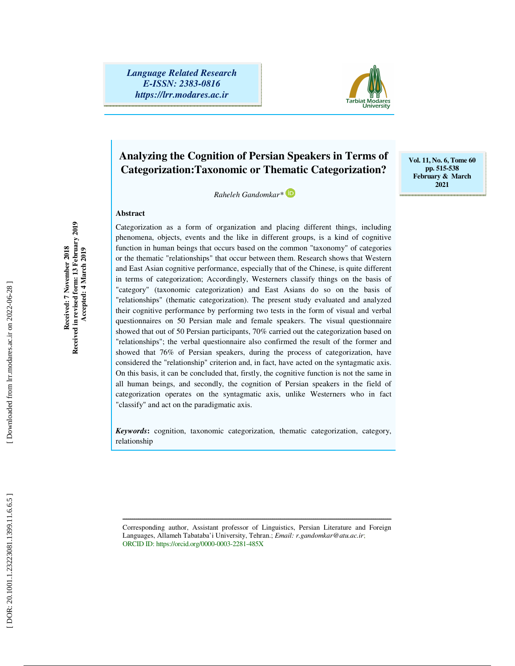*Language Related Research E-ISSN: 2383-0816 https://lrr.modares.ac.ir*



**Vol. 11, No. 6, Tome 60 pp. 515-538 February & March 2021** 

## **Analyzing the Cognition of Persian Speakers in Terms of Categorization:Taxonomic or Thematic Categorization?**

 *Raheleh Gandomkar\** 

#### **Abstract**

Categorization as a form of organization and placing different things, including phenomena, objects, events and the like in different groups, is a kind of cognitive function in human beings that occurs based on the common "taxonomy" of categories or the thematic "relationships" that occur between them. Research shows that Western and East Asian cognitive performance, especially that of the Chinese, is quite different in terms of categorization; Accordingly, Westerners classify things on the basis of "category" (taxonomic categorization) and East Asians do so on the basis of "relationships" (thematic categorization). The present study evaluated and analyzed their cognitive performance by performing two tests in the form of visual and verbal questionnaires on 50 Persian male and female speakers. The visual questionnaire showed that out of 50 Persian participants, 70% carried out the categorization based on "relationships"; the verbal questionnaire also confirmed the result of the former and showed that 76% of Persian speakers, during the process of categorization, have considered the "relationship" criterion and, in fact, have acted on the syntagmatic axis. On this basis, it can be concluded that, firstly, the cognitive function is not the same in all human beings, and secondly, the cognition of Persian speakers in the field of categorization operates on the syntagmatic axis, unlike Westerners who in fact "classify" and act on the paradigmatic axis.

*Keywords***:** cognition, taxonomic categorization, thematic categorization, category, relationship

Corresponding author, Assistant professor of Linguistics, Persian Literature and Foreign Languages, Allameh Tabataba'i University, Tehran.; *Email: r.gandomkar@atu.ac.ir*; ORCID ID: https://orcid.org/0000-0003-2281-485X

ــــــــــــــــــــــــــــــــــــــــــــــــــــــــــــــــــــــــــــــــــــــــــــــــــــــــــــــــــــــــــــــــــــــــــ

Received in revised form: 13 February 2019<br>Accepted: 4 March 2019 **Received in revised form: 13 February 2019 Received: 7 November 2018**  Received: 7 November 2018  **Accepted: 4 March 2019**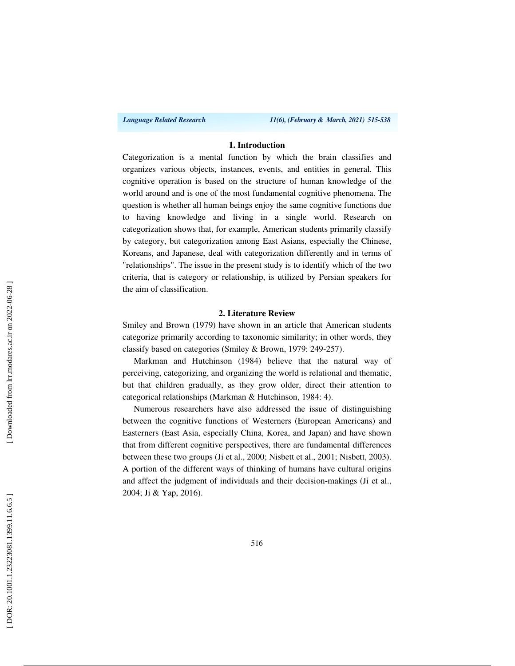*Language Related Research 11(6), (February & March, 2021) 515-538*

## **1. Introduction**

Categorization is a mental function by which the brain classifies and organizes various objects, instances, events, and entities in general. This cognitive operation is based on the structure of human knowledge of the world around and is one of the most fundamental cognitive phenomena. The question is whether all human beings enjoy the same cognitive functions due to having knowledge and living in a single world. Research on categorization shows that, for example, American students primarily classify by category, but categorization among East Asians, especially the Chinese, Koreans, and Japanese, deal with categorization differently and in terms of "relationships". The issue in the present study is to identify which of the two criteria, that is category or relationship, is utilized by Persian speakers for the aim of classification.

#### **2. Literature Review**

Smiley and Brown (1979) have shown in an article that American students categorize primarily according to taxonomic similarity; in other words, the **y** classify based on categories (Smiley & Brown, 1979: 249-257).

Markman and Hutchinson (1984) believe that the natural way of perceiving, categorizing, and organizing the world is relational and thematic, but that children gradually, as they grow older, direct their attention to categorical relationships (Markman & Hutchinson, 1984: 4).

Numerous researchers have also addressed the issue of distinguishing between the cognitive functions of Westerners (European Americans) and Easterners (East Asia, especially China, Korea, and Japan) and have shown that from different cognitive perspectives, there are fundamental differences between these two groups (Ji et al., 2000; Nisbett et al., 2001; Nisbett, 2003). A portion of the different ways of thinking of humans have cultural origins and affect the judgment of individuals and their decision-makings (Ji et al., 2004; Ji & Yap, 2016).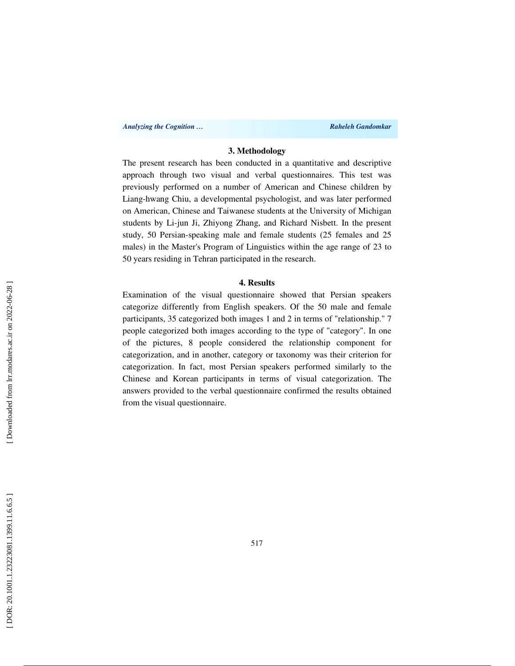*Analyzing the Cognition …* **Raheleh Gandomkar** *Raheleh Gandomkar Raheleh Gandomkar* **<b>***Raheleh Gandomkar* 

## **3. Methodology**

The present research has been conducted in a quantitative and descriptive approach through two visual and verbal questionnaires. This test was previously performed on a number of American and Chinese children by Liang-hwang Chiu, a developmental psychologist, and was later performed on American, Chinese and Taiwanese students at the University of Michigan students by Li-jun Ji, Zhiyong Zhang, and Richard Nisbett. In the present study, 50 Persian-speaking male and female students (25 females and 25 males) in the Master's Program of Linguistics within the age range of 23 to 50 years residing in Tehran participated in the research.

## **4. Results**

Examination of the visual questionnaire showed that Persian speakers categorize differently from English speakers. Of the 50 male and female participants, 35 categorized both images 1 and 2 in terms of "relationship." 7 people categorized both images according to the type of "category". In one of the pictures, 8 people considered the relationship component for categorization, and in another, category or taxonomy was their criterion for categorization. In fact, most Persian speakers performed similarly to the Chinese and Korean participants in terms of visual categorization. The answers provided to the verbal questionnaire confirmed the results obtained from the visual questionnaire.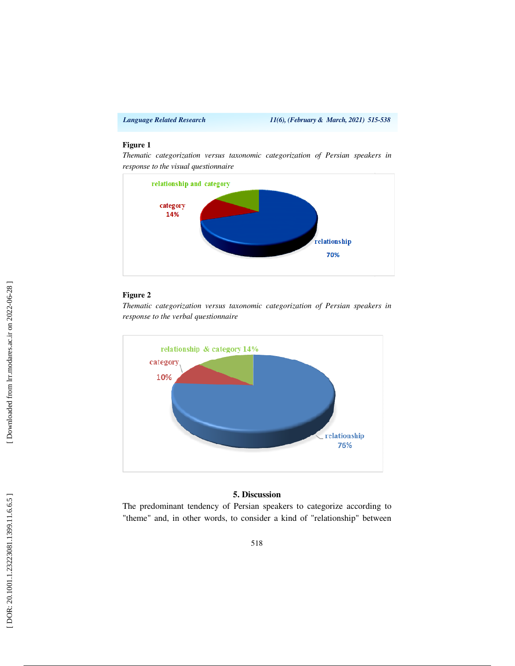### **Figure 1**

*Thematic categorization versus taxonomic categorization of Persian speakers in response to the visual questionnaire*



## **Figure 2**

*Thematic categorization versus taxonomic categorization of Persian speakers in response to the verbal questionnaire* 



#### **5. Discussion**

The predominant tendency of Persian speakers to categorize according to "theme" and, in other words, to consider a kind of "relationship" between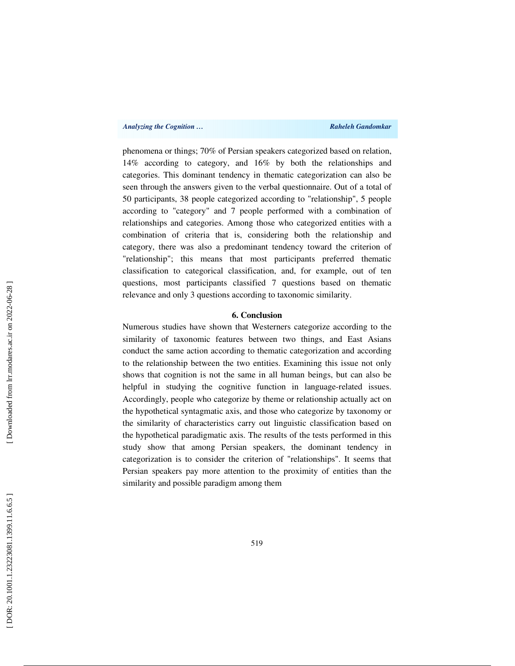phenomena or things; 70% of Persian speakers categorized based on relation, 14% according to category, and 16% by both the relationships and categories. This dominant tendency in thematic categorization can also be seen through the answers given to the verbal questionnaire. Out of a total of 50 participants, 38 people categorized according to "relationship", 5 people according to "category" and 7 people performed with a combination of relationships and categories. Among those who categorized entities with a combination of criteria that is, considering both the relationship and category, there was also a predominant tendency toward the criterion of "relationship"; this means that most participants preferred thematic classification to categorical classification, and, for example, out of ten questions, most participants classified 7 questions based on thematic relevance and only 3 questions according to taxonomic similarity.

## **6. Conclusion**

Numerous studies have shown that Westerners categorize according to the similarity of taxonomic features between two things, and East Asians conduct the same action according to thematic categorization and according to the relationship between the two entities. Examining this issue not only shows that cognition is not the same in all human beings, but can also be helpful in studying the cognitive function in language-related issues. Accordingly, people who categorize by theme or relationship actually act on the hypothetical syntagmatic axis, and those who categorize by taxonomy or the similarity of characteristics carry out linguistic classification based on the hypothetical paradigmatic axis. The results of the tests performed in this study show that among Persian speakers, the dominant tendency in categorization is to consider the criterion of "relationships". It seems that Persian speakers pay more attention to the proximity of entities than the similarity and possible paradigm among them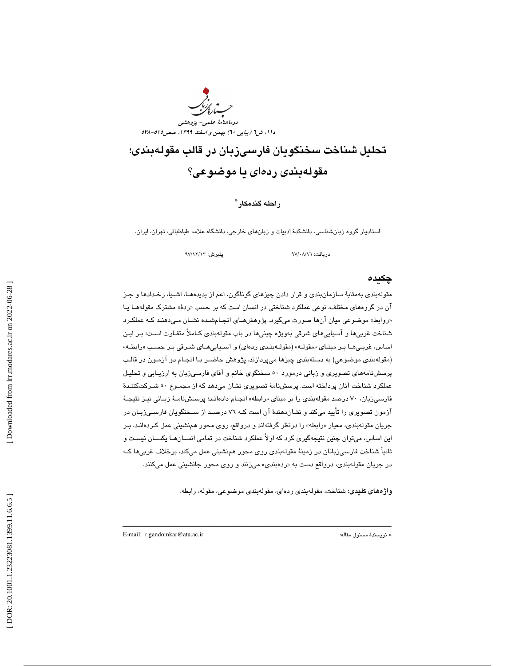

تحليل شناخت سخنگويان فارسيزبان در قالب مقولهبندي؛ مقولهبندي ردهاي يا موضوعي؟

## راحله گندمكار \*

استاديار گروه زبانشناسي، دانشكد ة ادبيات و زبانهاي خارجي، دانشگاه علامه طباطبائي، تهران، ايران.

دريافت: 16/ 08/ 97 پذيرش: 13/ 12/ 97

### چكيده

مقولهبندي بهمثابة سازمانبندي و قرار دادن چيزهاي گوناگون، اعم از پديدههـا، اشـيا، رخـدادها و جـز ان در گروههای مختلف، نوعی عملکرد شناختی در انسان است که بر حسب «ردهٔ» مشترک مقولههـا یـا «روابط» موضوعی میان انها صورت میگیرد. پژوهشهـای انجـامشـده نشــان مـیدهنـد کـه عملکـرد شناخت غربيها و آسياييهاي شرقي بهويژه چينيها در باب مقولهبندي كـاملاً متفـاوت اسـت؛ بـر ايـن اساس، غربـيهـا بـر مبنـاي «مقولــه» (مقولــهبنـدي ردهاي) و اســياييهـاي شــرقي بـر حسـب «رابطــه» (مقولهبندي موضوعي) به دستهبندي چيزها ميپردازند. پژوهش حاضـر بـا انجـام دو آزمـون در قالـب پرسشنامههاي تصويري و زباني درمورد 50 سخنگوي خانم و آقاي فارسيزبان به ارزيـابي و تحليـل عملكرد شناخت آنان پرداخته است. پرسشنامة تصويري نشان ميدهد كه از مجمـوع 50 شـركت كننـدة فارسـیزبان، ۷۰ درصد مقولهبندی را بر مبنای «رابطه» انجـام دادهانـد؛ پرســشنامــهٔ زبـانی نیـز نتیجـهٔ آزمون تصويري را تأييد ميكند و نشاندهندة آن است كـه 76 درصـد از سـخنگويان فارسـي زبـان در جريان مقولهبندي، معيار را« بطه» را درنظر گرفتهاند و درواقع، روي محور همنشيني عمل كـرده انـد. بـر اين اساس، ميتوان چنين نتيجهگيري كرد كه اولاً عملكرد شناخت در تمامي انسـان هـا يكسـان نيسـت و ثانياً شناخت فارسيزبانان در زمينة مقولهبندي روي محور همنشيني عمل ميكند، برخلاف غربيها كـه در جريان مقولهبندی، درواقع دست به «ردهبندی» میزنند و روی محور جانشینی عمل میکنند.

ــــــــــــــــــــــــــــــــــــــــــــــــــــــــــــــــــــــــــــــــــــــــــــــــــــــــــــــــــــــــــــــــــــــــــ

واژههاي كليدي: شناخت، مقولهبندي ردهاي، مقولهبندي موضوعي، مقوله، رابطه.

E-mail: r.gandomkar@atu.ac.ir :مقاله مسئول نويسندة\*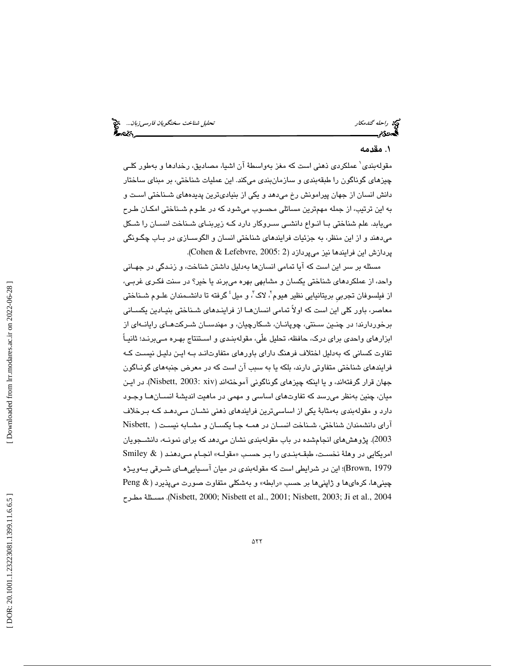## 1. مقدمه

مقولهبندي 1 عملكردي ذهني است كه مغز بهواسطة آن اشيا، مصاديق، رخدادها و بهطور كلـي چيزهاي گوناگون را طبقهبندي و سازمانبندي ميكند. اين عمليات شناختي، بر مبناي ساختار دانش انسان از جهان پيرامونش رخ ميدهد و يكي از بنياديترين پديدههاي شـناختي اسـت و به اين ترتيب، از جمله مهمترين مسائلي محسوب ميشود كه در علـوم شـناختي امكـان طـرح مييابد. علم شناختي بـا انـواع دانشـي سـروكار دارد كـه زيربنـاي شـناخت انسـان را شـكل ميدهند و از اين منظر، به جزئيات فرايندهاي شناختي انسان و الگوسـازي در بـاب چگـونگي پردازش اين فرايندها نيز ميپردازد (2 :Cohen & Lefebvre, 2005).

مسئله بر سر اين است كه آيا تمامي انسانها بهدليل داشتن شناخت، و زنـدگي در جهـاني واحد، از عملكردهاي شناختي يكسان و مشابهي بهره ميبرند يا خير؟ در سنت فكـري غربـي، از فیلسوفان تجربی بریتانیایی نظیر هیوم'، لاک'، و میل<sup>؛</sup> گرفته تا دانشــمندان علــوم شــناختی معاصر، باور كلي اين است كه اولاً تمامي انسانهـا از فراينـدهاي شـناختي بنيـادين يكسـاني برخوردارند؛ در چنـين سـنتي، چوپانـان، شـكارچيان، و مهندسـان شـركت هـاي رايانـه اي از ابزارهاي واحدي براي درك، حافظه، تحليل علّي، مقولهبنـدي و اسـتنتاج بهـره مـي برنـد؛ ثانيـاً تفاوت كساني كه بهدليل اختلاف فرهنگ داراي باورهاي متفاوتانـد بـه ايـن دليـل نيسـت كـه فرايندهاي شناختي متفاوتي دارند، بلكه يا به سبب آن است كه در معرض جنبههاي گونـاگون جهان قرار گرفتهاند، و يا اينكه چيزهاي گوناگوني آموختهاند (xiv 2003: ,Nisbett(. در ايـن ميان، چنين بهنظر ميرسد كه تفاوتهاي اساسي و مهمي در ماهيت انديشة انسـان هـا وجـود دارد و مقولهبندي بهمثابة يكي از اساسيترين فرايندهاي ذهني نشـان مـي دهـد كـه بـرخلاف آراي دانشمندان شناختي، شـناخت انسـان در همـه جـا يكسـان و مشـابه نيسـت ( ,Nisbett 2003). پژوهشهاي انجامشده در باب مقولهبندي نشان ميدهد كه براي نمونـه، دانشـجويا ن Smiley & ) امریکایی در وهلهٔ نخسـت، طبقــهبنـدی را بـر حسـب «مقولــه» انجــام مــیدهنـد 1979 ,Brown(؛ اين در شرايطي است كه مقولهبندي در ميان آسـيايي هـاي شـرقي بـه ويـژه  $\operatorname{Peng} \ \&$  ) کرهای ها و ژاپنی ها بر حسب «رابطه» و بهشکلی متفاوت صورت میپذیرد مطـرح مسـئلة .)Nisbett, 2000; Nisbett et al., 2001; Nisbett, 2003; Ji et al., 2004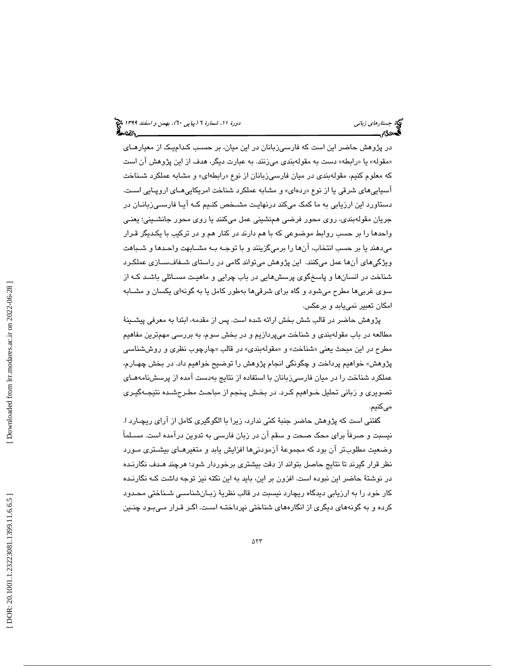در پژوهش حاضر اين است كه فارسيزبانان در اين ميان، بر حسـب كـدام يـك از معيارهـاي «مقوله» یا «رابطه» دست به مقولهبندی میزنند. به عبارت دیگر، هدف از این پژوهش ان است كه معلوم كنيم، مقولهبندي در ميان فارسـيزبانان از نوع «رابطهاي» و مشابه عملكرد شـنـاخت اسپايي *ه*اي شرقي يا از نوع «ردهاي» و مشابه عملكرد شناخت امريكايي *هــاي ار*وپـايي اسـت. دستاورد اين ارزيابي به ما كمك ميكند درنهايـت مشـخص كنـيم كـه آيـا فارسـي زبانـان در جريان مقولهبندي، روي محور فرضي همنشيني عمل ميكنند يا روي محور جانشـيني؛ يعنـي واحدها را بر حسب روابط موضوعي كه با هم دارند در كنار هم و در تركيب با يكـديگر قـرار ميدهند يا بر حسب انتخاب، آنها را برميگزينند و با توجـه بـه مشـابهت واحـدها و شـباهت ويژگيهاي آنها عمل ميكنند. اين پژوهش ميتواند گامي در راستاي شـفاف سـازي عملكـرد شناخت در انسانها و پاسخگوي پرسشهايي در باب چرايي و ماهيـت مسـائلي باشـد كـه از سوي غربيها مطرح ميشود و گاه براي شرقيها بهطور كامل يا به گونهاي يكسان و مشـابه امكان تعبير نمييابد و برعكس.

پژوهش حاضر در قالب شش بخش ارائه شده است. پس از مقدمه، ابتدا به معرفي پيشـينة مطالعه در باب مقولهبندي و شناخت ميپردازيم و در بخش سوم، به بررسي مهمترين مفاهيم مطرح در اين مبحث يعني «شناخت» و «مقولهبندي» در قالب «چارچوب نظري و روششناسي پژوهش» خواهيم پرداخت و چگونگي انجام پژوهش را توضيح خواهيم داد. در بخش چهـارم، عملكرد شناخت را در ميان فارسيزبانان با استفاده از نتايج بهدست آمده از پرسشنامههـاي تصويري و زباني تحليل خـواهيم كـرد. در بخـش پـنجم از مباحـث مطـرح شـده نتيجـه گيـري ميكنيم.

گفتني است كه پژوهش حاضر جنبة كمي ندارد، زيرا با الگوگيري كامل از آراي ريچـارد ا. نيسبت و صرفاً براي محك صحت و سقم آن در زبان فارسي به تدوين درآمده است. مسـلماً وضعيت مطلوبتر آن بود كه مجموعة آزمودنيها افزايش يابد و متغيرهـاي بيشـتري مـورد نظر قرار گيرند تا نتايج حاصل بتواند از دقت بيشتري برخوردار شود؛ هرچند هـدف نگارنـده در نوشتة حاضر اين نبوده است. افزون بر اين، بايد به اين نكته نيز توجه داشت كـه نگارنـده كار خود را به ارزيابي ديدگاه ريچارد نيسبت در قالب نظرية زبـان شناسـي شـناختي محـدود كرده و به گونههاي ديگري از انگارههاي شناختي نپرداختـه اسـت. اگـر قـرار مـي بـود چنـين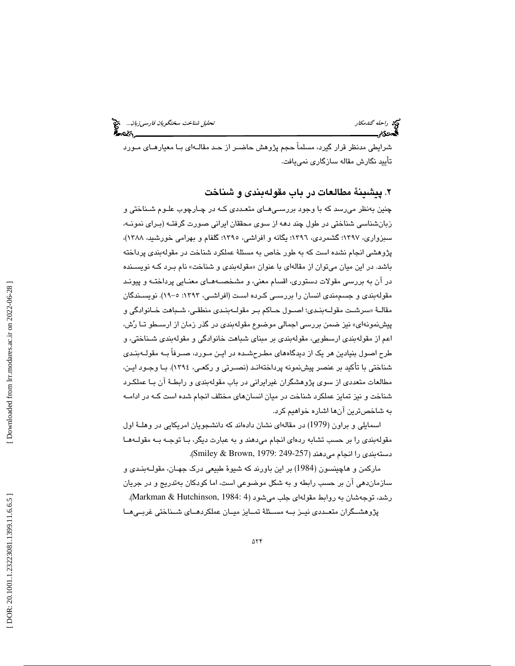شرايطي مدنظر قرار گيرد، مسلماً حجم پژوهش حاضـر از حـد مقالـه اي بـا معيارهـاي مـورد تأييد نگارش مقاله سازگاري نمييافت.

## . پيشينة مطالعات در باب مقولهبندي و شناخت 2

چنين بهنظر ميرسد كه با وجود بررسـي هـاي متعـددي كـه در چـارچوب علـوم شـناختي و زبانشناسي شناختي در طول چند دهه از سوي محققان ايراني صورت گرفتـه (بـراي نمونـه، سبزواري، 1397؛ گشمردي، 1396؛ يگانه و افراشي، 1395؛ گلفام و بهرامي خورشيد، 1388)، پژوهشي انجام نشده است كه به طور خاص به مسئلة عملكرد شناخت در مقولهبندي پرداخته باشد. در اين ميان ميتوان از مقالهاي با عنوان «مقولهبندي و شناخت» نام بـرد كــه نويســنده در آن به بررسي مقولات دستوري، اقسام معني، و مشخصـه هـاي معنـايي پرداختـه و پيونـد مقولهبندي و جسممندي انسان را بررسـي كـرده اسـت (افراشـي، 1393 :5- 19). نويسـندگان سرشـت مقولـهبنـدي؛ اصـول حـاكم بـر مقولـهبنـدي منطقـي، شـباهت خـانوادگي و مقالـة « پيشنمونهاي» نيز ضمن بررسي اجمالي موضوع مقولهبندي در گذر زمان از ارسـطو تـا رش، اعم از مقولهبندي ارسطويي، مقولهبندي بر مبناي شباهت خانوادگي و مقولهبندي شـناختي، و طرح اصول بنيادين هر يك از ديدگاههاي مطـرح شـده در ايـن مـورد، صـرفاً بـه مقولـه بنـدي شناختي با تأكيد بر عنصر پيشنمونه پرداختهانـد (نصـرتي و ركعـي، 1394). بـا وجـود ايـن، مطالعات متعددي از سوي پژوهشگران غيرايراني در باب مقولهبندي و رابطـة آن بـا عملكـرد شناخت و نيز تمايز عملكرد شناخت در ميان انسانهاي مختلف انجام شده است كـه در ادامـه به شاخصترين آنها اشاره خواهيم كرد.

اسمايلي و براون (1979) در مقالهاي نشان دادهاند كه دانشجويان امريكايي در وهلـة اول مقولهبندي را بر حسب تشابه ردهاي انجام ميدهند و به عبارت ديگر، بـا توجـه بـه مقولـه هـا دستهبندي را انجام ميدهند (249-257 1979: ,Brown & Smiley( .

ماركمن و هاچينسون (1984) بر اين باورند كه شيوة طبيعي درك جهـان، مقولـه بنـدي و سازماندهي آن بر حسب رابطه و به شكل موضوعي است، اما كودكان بهتدريج و در جريان رشد، توجهشان به روابط مقولهاي جلب مي شود (4 :Markman & Hutchinson, 1984). پژوهشــگران متعــددي نيــز بــه مســئلهٔ تمــايز ميــان عملكردهــاي شــناختي غربــي هــا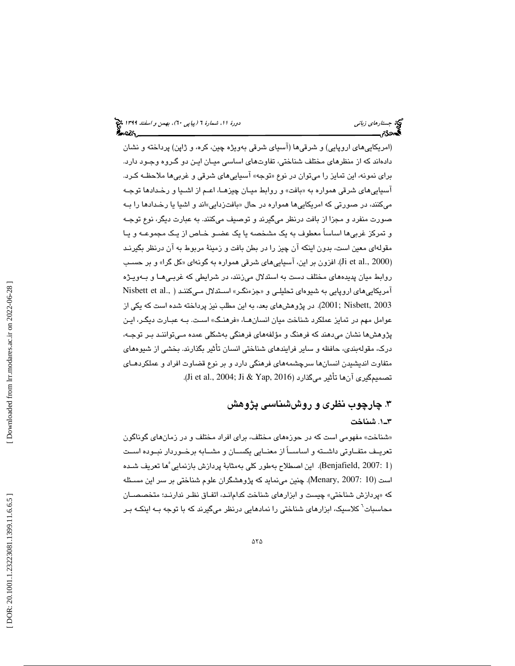(امريكاييهاي اروپايي) و شرقيها (آسياي شرقي به ويژه چين، كره، و ژاپن) پرداخته و نشان دادهاند كه از منظرهاي مختلف شناختي، تفاوتهاي اساسي ميـان ايـن دو گـروه وجـود دارد. برای نمونه، این تمایز را میتوان در نوع «توجه» اسپاییهای شرقی و غربیها ملاحظـه کـرد. اسپايي *ه*اي شرقي همواره به «بافت» و روابط ميـان چيزهـا، اعـم از اشـيا و رخـدادها توجـه میکنند، در صورتی که امریکاییها همواره در حال «بافتزدایی»اند و اشیا یا رخـدادهـا را بــه صورت منفرد و مجزا از بافت درنظر ميگيرند و توصيف ميكنند. به عبارت ديگر، نوع توجـه و تمركز غربيها اساساً معطوف به يك مشخصه يا يك عضـو خـاص از يـك مجموعـه و يـا مقولهاي معين است، بدون اينكه آن چيز را در بطن بافت و زمينة مربوط به آن درنظر بگيرنـد (Ji et al., 2000). افزون بر این، آسیاییهای شرقی همواره به گونهای «کل گرا» و بر حسـب روابط ميان پديدههاي مختلف دست به استدلال ميزنند، در شرايطي كه غربـي هـا و بـه ويـژه آمريكايى۱هاى اروپايى به شيوهاى تحليلـى و «جزءنگـر» اســڌدلال مــىكننـد ( .Nisbett et al 2003 ,Nisbett; 2001(. در پژوهشهاي بعد، به اين مطلب نيز پرداخته شده است كه يكي از عوامل مهم در تمايز عملكرد شناخت ميان انسانهــا، «فرهنـگ» اسـت. بــه عبــارت ديگـر، ايـن پژوهشها نشان ميدهند كه فرهنگ و مؤلفههاي فرهنگي بهشكلي عمده مـي تواننـد بـر توجـه، درك، مقولهبندي، حافظه و ساير فرايندهاي شناختي انسان تأثير بگذارند. بخشي از شيوههاي متفاوت انديشيدن انسانها سرچشمههاي فرهنگي دارد و بر نوع قضاوت افراد و عملكردهـاي .(Ji et al., 2004; Ji & Yap, 2016) ميگذارد تأثير آنها تصميمگيري

## . چارچوب نظري و روششناسي پژوهش 3 1ـ3 . شناخت

شناخت» مفهومي است كه در حوزههاي مختلف، براي افراد مختلف و در زمانهاي گوناگون » تعريــف متفــاوتي داشــته و اساســاً از معنــايي يكســان و مشــابه برخــوردار نبــوده اســت 1 2007: ,Benjafield(. اين اصطلاح بهطور كلي بهمثابة پردازش بازنمايي ) 5 ها تعريف شـده است (10 2007: ,Menary(. چنين مينمايد كه پژوهشگران علوم شناختي بر سر اين مسـئله پردازش شناختي» چيست و ابزارهاي شناخت كدامانـد، اتفـاق نظـر ندارنـد؛ متخصصـان كه « محاسبات<sup>7</sup> كلاسیک، ابزارهای شناختی را نمادهایی درنظر میگیرند که با توجه بـه اینکـه بـر<br>.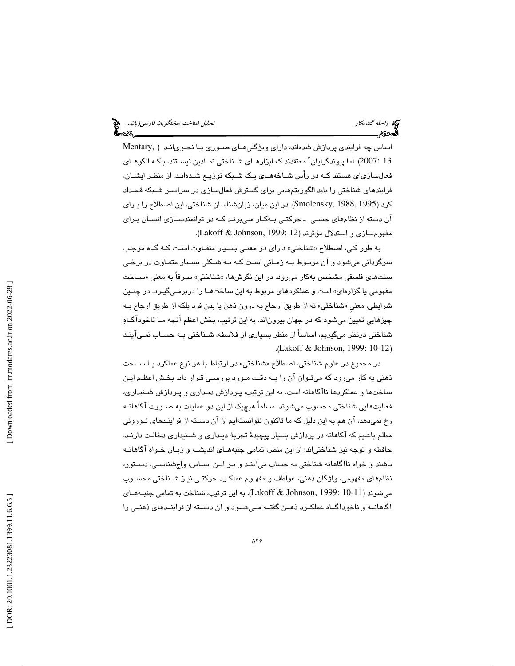اساس چه فرايندي پردازش شدهاند، داراي ويژگـي هـاي صـوري يـا نحـوي انـد ( ,Mentary 13 2007:)، اما پيوندگرايان 7 معتقدند كه ابزارهـاي شـناختي نمـادين نيسـتند، بلكـه الگوهـاي فعالسازياي هستند كـه در رأس شـاخه هـاي يـك شـبكه توزيـع شـده انـد. از منظـر ايشـان، فرايندهاي شناختي را بايد الگوريتمهايي براي گسترش فعالسازي در سراسـر شـبكه قلمـداد كرد (1995 1988, ,Smolensky( . در اين ميان، زبانشناسان شناختي، اين اصطلاح را بـراي آن دسته از نظامهاي حسـي ـ حركتـي بـه كـار مـي برنـد كـه در توانمندسـازي انسـان بـراي مفهومسازي و استدلال مؤثرند (Lakoff & Johnson, 1999: 12).

به طور كلي، اصطلاح «شناختي» داراي دو معنـي بسـيار متفـاوت اسـت كـه گـاه موجـب سرگرداني ميشود و آن مربـوط بـه زمـاني اسـت كـه بـه شـكلي بسـيار متفـاوت در برخـي سنتهای فلسفی مشخص بهکار میرود. در این نگرشها، «شناختی» صرفاً به معنی «ســاخت مفهومي يا گزارهاي» است و عملكردهاي مربوط به اين ساختهـا را دربرمـي گيـرد. در چنـين شرايطي، معني «شناختي» نه از طريق ارجاع به درون ذهن يا بدن فرد بلكه از طريق ارجاع بــه چيزهايي تعيين ميشود كه در جهان بيروناند. به اين ترتيب، بخش اعظم آنچه مـا ناخودآگـاه شناختي درنظر ميگيريم، اساساً از منظر بسياري از فلاسفه، شـناختي بـه حسـاب نمـي آينـد .( Lakoff & Johnson, 1999: 10-12 )

در مجموع در علوم شناختي، اصطلاح «شناختي» در ارتباط با هر نوع عملكرد يــا ســاخت ذهني به كار ميرود كه ميتـوان آن را بـه دقـت مـورد بررسـي قـرار داد. بخـش اعظـم ايـن ساخت ها و عملكردها ناآگاهانه است. به اين ترتيب، پـردازش ديـداري و پـردازش شـنيداري، فعاليتهايي شناختي محسوب ميشوند. مسلماً هيچيك از اين دو عمليات به صـورت آگاهانـه رخ نميدهد، آن هم به اين دليل كه ما تاكنون نتوانستهايم از آن دسـته از فراينـدهاي نـوروني مطلع باشيم كه آگاهانه در پردازش بسيار پيچيدة تجربة ديـداري و شـنيداري دخالـت دارنـد. حافظه و توجه نيز شناختياند؛ از اين منظر، تمامي جنبههـاي انديشـه و زبـان خـواه آگاهانـه باشند و خواه ناآگاهانه شناختي به حساب ميآينـد و بـر ايـن اسـاس، واج شناسـي، دسـتور، نظامهاي مفهومي، واژگان ذهني، عواطف و مفهـوم عملكـرد حركتـي نيـز شـناختي محسـوب ميشوند (10-11 1999: ,Johnson & Lakoff( . به اين ترتيب، شناخت به تمامي جنبـه هـاي 7 آگاهانــه و ناخودآگــاه عملكــرد ذهــن گفتــه مــي شــود و آن دســته از فراينــدهاي ذهنــي را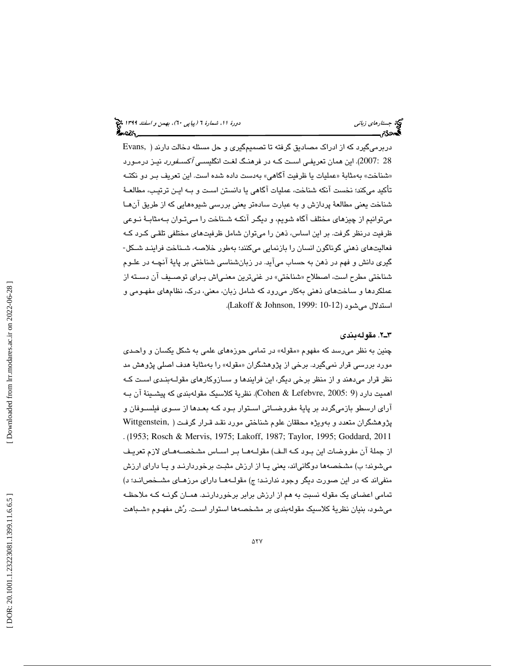دربرميگيرد كه از ادراك مصاديق گرفته تا تصميمگيري و حل مسئله دخالت دارند ( ,Evans 28 :2007). اين همان تعريفـي اسـت كـه در فرهنـگ لغـت انگلي*سـي آكسـفورد* نيـز درمـورد «شناخت» بهمثابهٔ «عملیات یا ظرفیت اگاهی» بهدست داده شده است. این تعریف بـر دو نكتــه تأكيد ميكند؛ نخست آنكه شناخت، عمليات آگاهي يا دانستن اسـت و بـه ايـن ترتيـب، مطالعـة شناخت يعني مطالعة پردازش و به عبارت سادهتر يعني بررسي شيوههايي كه از طريق آنهـا ميتوانيم از چيزهاي مختلف آگاه شويم، و ديگـر آنكـه شـناخت را مـي تـوان بـه مثابـة نـوعي ظرفيت درنظر گرفت. بر اين اساس، ذهن را ميتوان شامل ظرفيتهاي مختلفي تلقـي كـرد كـه<br>فعاليتـهـاي ذهني گوناگون انسـان را بازنمـايي ميكنند؛ بـهـلور خلاصـه، شــنـاخت فراينـد شــكل-گيري دانش و فهم در ذهن به حساب ميآيد. در زبانشناسي شناختي بر پاية آنچـه در علـوم شناختي مطرح است، اصطلاح «شناختي» در غنيترين معنـياش بـراي توصـيف ان دسـته از عملكردها و ساختهاي ذهني بهكار ميرود كه شامل زبان، معني، درك، نظامهاي مفهـومي و استدلال مي شود (10-11 :Lakoff & Johnson, 1999).

#### 2ـ3 . مقولهبندي

چنین به نظر میرسد که مفهوم «مقوله» در تمامی حوزههای علمی به شکل یکسان و واحـدی مورد بررسی قرار نمیگیرد. برخی از پژوهشگران «مقوله» را بهمثابهٔ هدف اصلی پژوهش مد نظر قرار ميدهند و از منظر برخي ديگر، اين فرايندها و سـازوكارهاي مقولـه بنـدي اسـت كـه اهميت دارد (9 2005: ,Lefebvre & Cohen(. نظرية كلاسيك مقولهبندي كه پيشـينة آن بـه آراي ارسطو بازميگردد بر پاية مفروضـاتي اسـتوار بـود كـه بعـدها از سـوي فيلسـوفان و پژوهشگران متعدد و بهويژه محققان علوم شناختي مورد نقـد قـرار گرفـت ( ,Wittgenstein . (1953; Rosch & Mervis, 1975; Lakoff, 1987; Taylor, 1995; Goddard, 2011 از جملة آن مفروضات اين بـود كـه الـف) مقولـه هـا بـر اسـاس مشخصـه هـاي لازم تعريـف ميشوند؛ ب) مشخصهها دوگانياند، يعني يـا از ارزش مثبـت برخوردارنـد و يـا داراي ارزش منفياند كه در اين صورت ديگر وجود ندارنـد؛ ج) مقولـه هـا داراي مرزهـاي مشـخص انـد؛ د) تمامي اعضاي يك مقوله نسبت به هم از ارزش برابر برخوردارنـد. همـان گونـه كـه ملاحظـه میشود، بنیان نظریهٔ کلاسیک مقولهبندی بر مشخصهها استوار اسـت. رُش مفهـوم «شـباهت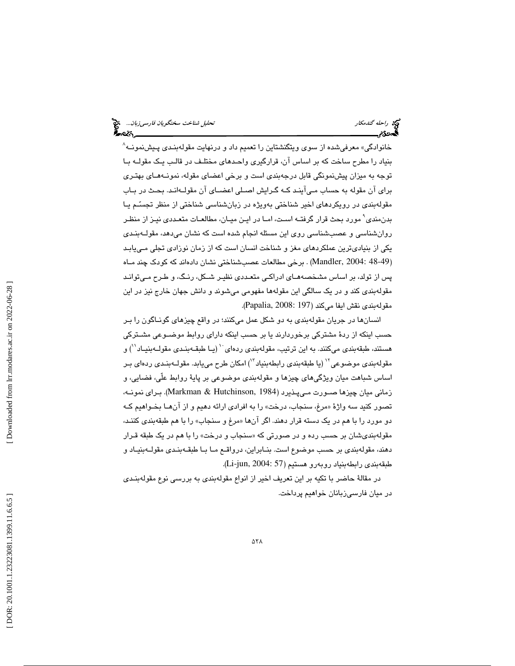خانوادگي» معرفيشده از سوي ويتگنشتاين را تعميم داد و درنهايت مقولهبنـدي پـيشنمونــه^ بنياد را مطرح ساخت كه بر اساس آن، قرارگيري واحـدهاي مختلـف در قالـب يـك مقولـه بـا توجه به ميزان پيشنمونگي قابل درجهبندي است و برخي اعضاي مقوله، نمونـه هـاي بهتـري براي آن مقوله به حساب مـي آينـد كـه گـرايش اصـلي اعضـاي آ ن مقولـه انـد. بحـث در بـاب مقولهبندي در رويكردهاي اخير شناختي بهويژه در زبانشناسي شناختي از منظر تجسـم يـا بدنمندي 9 مورد بحث قرار گرفتـه اسـت، امـا در ايـن ميـان، مطالعـات متعـددي نيـز از منظـر روانشناسي و عصبشناسي روي اين مسئله انجام شده است كه نشان ميدهد، مقولـ هبنـدي يكي از بنياديترين عملكردهاي مغز و شناخت انسان است كه از زمان نوزادي تجلي مـي يابـد (Mandler, 2004: 48-49) . برخی مطالعات عصب شناختی نشان دادهاند که کودک چند مـاه پس از تولد، بر اساس مشخصههـاي ادراكـي متعـددي نظيـر شـكل، رنـگ، و طـرح مـي توانـد مقولهبندي كند و در يك سالگي اين مقولهها مفهومي ميشوند و دانش جهان خارج نيز در اين مقولهبندي نقش ايفا ميكند (197 2008: ,Papalia( .

انسانها در جريان مقولهبندي به دو شكل عمل ميكنند؛ در واقع چيزهاي گونـاگون را بـر حسب اينكه از ردة مشتركي برخوردارند يا بر حسب اينكه داراي روابط موضـوعي مشـتركي هستند، طبقهبندي ميكنند. به اين ترتيب، مقولهبندي ردهاي `` (يـا طبقـهبنـدي مقولــهبنيــاد ``) و مقولهبندي موضوعي<sup>۱۲</sup> (يا طبقهبندي رابطهبنياد ۱<sup>۳)</sup> امكان طرح مييابد. مقولــهبنـدي ردهاي بـر اساس شباهت ميان ويژگيهاي چيزها و مقولهبندي موضوعي بر پاية روابط علّي، فضايي، و زماني ميان چيزها صـورت مـي پـذيرد ( 1984 ,Hutchinson & Markman(. بـراي نمونـه، تصور كنيد سه واژهٔ «مرغ، سنجاب، درخت» را به افرادي ارائه دهيم و از انهــا بخـواهيم كــه دو مورد را با هم در يک دسته قرار دهند. اگر آنها «مرغ و سنجاب» را با هم طبقهبندي كننـد، مقولهبندیشان بر حسب رده و در صورتی که «سنجاب و درخت» را با هم در یک طبقه قـرار دهند، مقولهبندي بر حسب موضوع است. بنـابراين، درواقـع مـا بـا طبقـه بنـدي مقولـه بنيـاد و طبقهبندي رابطهبنياد روبهرو هستيم (Li-jun, 2004: 57).

در مقالة حاضر با تكيه بر اين تعريف اخير از انواع مقولهبندي به بررسي نوع مقولهبنـدي در ميان فارسيزبانان خواهيم پرداخت.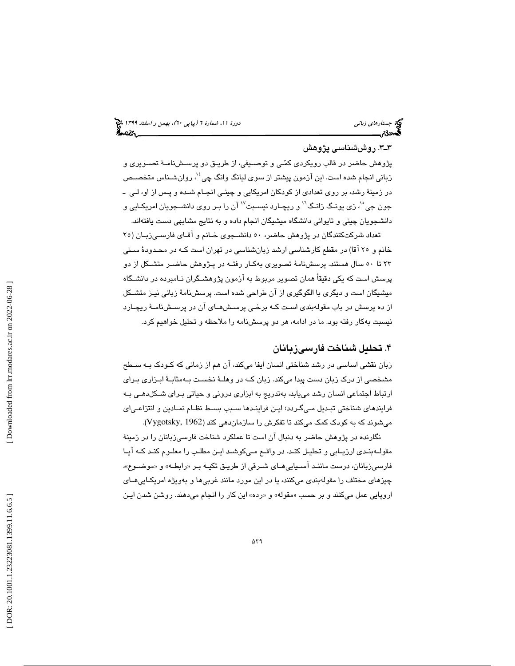## 3ـ3 . روششناسي پژوهش

پژوهش حاضر در قالب رويكردي كمـي و توصـيفي، از طريـق دو پرسـش نامـة تصـويري و زباني انجام شده است. اين آزمون پيشتر از سوي ليانگ وانگ چي<sup>؟'</sup>، روانشـناس متخصـص در زمينة رشد، بر روي تعدادي از كودكان امريكايي و چينـي انجـام شـده و پـس از او، لـي ـ جون جی°<sup>י</sup>، زی یونـگ زانـگ<sup>٦</sup>' و ریچـارد نیسـبت<sup>۱۷</sup> آن را بـر روی دانشــجویان امریکـایی و دانشجويان چيني و تايواني دانشگاه ميشيگان انجام داده و به نتايج مشابهي دست يافتهاند.

تعداد شركتكنندگان در پژوهش حاضر، 50 دانشـجوي خـانم و آقـاي فارسـي زبـان ( 25 خانم و 25 آقا) در مقطع كارشناسي ارشد زبانشناسي در تهران است كـه در محـدودة سـني 23 تا 50 سال هستند. پرسشنامة تصويري بهكـار رفتـه در پـژوهش حاضـر متشـكل از دو پرسش است كه يكي دقيقاً همان تصوير مربوط به آزمون پژوهشـگران نـامبرده در دانشـگاه ميشيگان است و ديگري با الگوگيري از آن طراحي شده است. پرسشنامة زباني نيـز متشـكل از ده پرسش در باب مقولهبندي اسـت كـه برخـي پرسـش هـاي آن در پرسـش نامـة ريچـارد نيسبت بهكار رفته بود. ما در ادامه، هر دو پرسشنامه را ملاحظه و تحليل خواهيم كرد.

## . تحليل شناخت فارسيزبانان 4

زبان نقشي اساسي در رشد شناختي انسان ايفا ميكند، آن هم از زماني كه كـودك بـه سـطح مشخصي از درك زبان دست پيدا ميكند. زبان كـه در وهلـة نخسـت بـه مثابـة ابـزاري بـراي ارتباط اجتماعي انسان رشد مييابد، بهتدريج به ابزاري دروني و حياتي بـراي شـكل دهـي بـه فرايندهاي شناختي تبـديل مـي گـردد؛ ايـن فراينـدها سـبب بسـط نظـام نمـادين و انتزاعـي اي ميشوند كه به كودك كمك ميكند تا تفكرش را سازماندهي كند (1962 ,Vygotsky( .

نگارنده در پژوهش حاضر به دنبال آن است تا عملكرد شناخت فارسيزبانان را در زمينة مقولـهبنـدي ارزيـابي و تحليـل كنـد. در واقـع مـيكوشـد ايـن مطلـب را معلـوم كنـد كـه آيـا فارسـيزبانان، درست ماننـد اسـيايي١عـاي شـرقي از طريـق تكيــه بـر «رابطـه» و «موضــوع»، چيزهاي مختلف را مقولهبندي ميكنند، يا در اين مورد مانند غربيها و بهويژه امريكـايي هـاي اروپايي عمل ميكنند و بر حسب «مقوله» و «رده» اين كار را انجام ميدهند. روشن شدن ايـن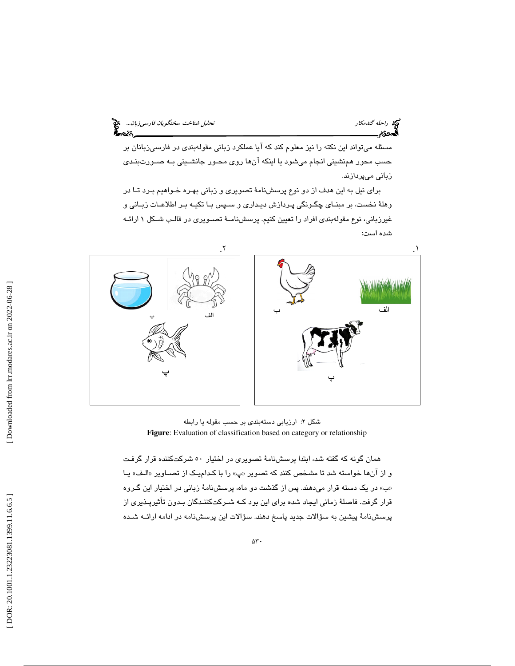مسئله ميتواند اين نكته را نيز معلوم كند كه آيا عملكرد زباني مقولهبندي در فارسيزبانان بر حسب محور همنشيني انجام ميشود يا اينكه آنها روي محـور جانشـيني بـه صـورت بنـدي زباني ميپردازند.

براي نيل به اين هدف از دو نوع پرسشنامة تصويري و زباني بهـره خـواهيم بـرد تـا در وهلة نخست، بر مبنـاي چگـونگي پـردازش ديـداري و سـپس بـا تكيـه بـر اطلاعـات زبـاني و غيرزباني، نوع مقولهبندي افراد را تعيين كنيم. پرسشنامـة تصـويري در قالـب شـكل 1 ارائـه شده است:



: ارزيابي دستهبندي بر حسب مقوله يا رابطه شكل 2 **Figure**: Evaluation of classification based on category or relationship

همان گونه كه گفته شد، ابتدا پرسشنامة تصويري در اختيار 50 شركتكننده قرار گرفـت و از انها خواسته شد تا مشخص كنند كه تصوير «پ» را با كـداميـك از تصــاوير «الـف» يـا «ب» در یک دسته قرار میدهند. پس از گذشت دو ماه، پرسشنامهٔ زبانی در اختیار این گـروه قرار گرفت. فاصلة زماني ايجاد شده براي اين بود كـه شـركت كننـدگان بـدون تأثيرپـذيري از پرسشنامة پيشين به سؤالات جديد پاسخ دهند. سؤالات اين پرسشنامه در ادامه ارائـه شـده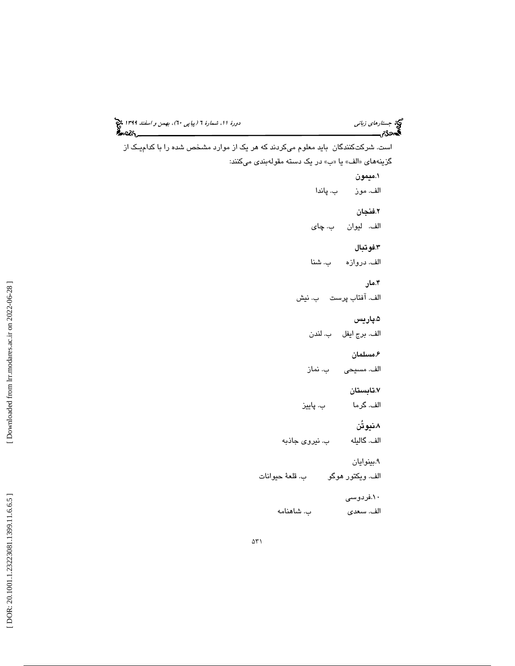$\Delta \Upsilon$  ) است. شركت كنندگان بايد معلوم ميكردند كه هر يك از موارد مشخص شده را با كداميـك از گزينههاي «الف» يا «ب» در يک دسته مقولهبندي ميكنند: 1. ميمون الف. موز ب. پاندا 2. فنجان الف. ليوان ب. چاي 3. فوتبال الف. دروازه ب. شنا 4. مار الف. آفتاب پرست ب. نيش 5. پاريس الف. برج ايفل ب. لندن 6. مسلمان الف. مسيحي ب. نماز 7. تابستان الف. گرما ب. پاييز 8. نيوتُن الف. گاليله ب. نيروي جاذبه 9. بينوايان الف. ويكتور هوگو ب. قلعة حيوانات 10. فردوسي الف. سعدي ب. شاهنامه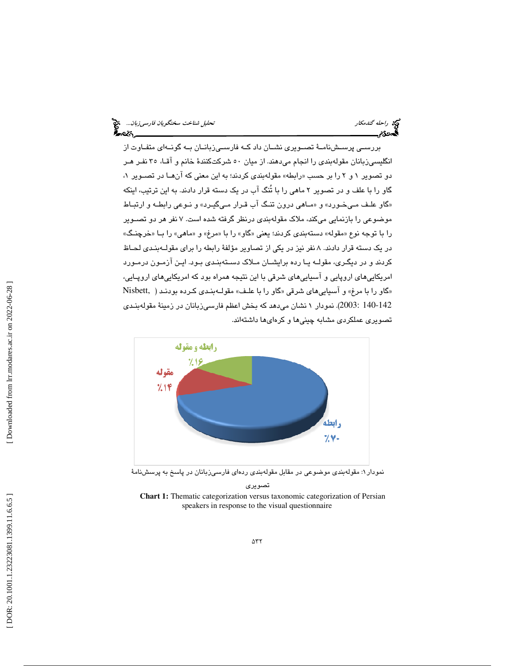بررسـي پرسـشنامـة تصـويري نشـان داد كـه فارسـيزبانـان بـه گونـهاي متفـاوت از انگليسيزبانان مقولهبندي را انجام ميدهند. از ميان 50 شركتكنندة خانم و آقـا، 35 نفـر هـر دو تصوير ۱ و ۲ را بر حسب «رابطه» مقولهبن*دی* کردند؛ به اين معنی که انهــا در تصــوير ۱، گاو را با علف و در تصوير 2 ماهي را با تُنگ آب در يك دسته قرار دادند. به اين ترتيب، اينكه «گاو علـف مـيخـورد» و «مـاهي درون تنـگ اب قـرار مـيگيـرد» و نـوعي رابطـه و ارتبـاط موضوعي را بازنمايي ميكند، ملاك مقولهبندي درنظر گرفته شده است. 7 نفر هر دو تصـوير را با توجه نوع «مقوله» دستهبندي كردند؛ يعني «گاو» را با «مرغ» و «ماهي» را بــا «خرچنـگ» در يك دسته قرار دادند. 8 نفر نيز در يكي از تصاوير مؤلفة رابطه را براي مقولـه بنـدي لحـاظ كردند و در ديگـري، مقولــه يــا رده برايشــان مــلاک دســتهبنـدي بـود. ايـن آزمـون درمـورد امريكاييهاي اروپايي و آسياييهاي شرقي با اين نتيجه همراه بود كه امريكاييهاي اروپـايي، «گاو را با مرغ» و آسیاییِهای شرقی «گاو را با علـف» مقولــهبنـدی کـرده بودنـد ( Nisbett, 140-142 2003:). نمودار 1 نشان ميدهد كه بخش اعظم فارسيزبانان در زمينة مقولهبنـدي تصويري عملكردي مشابه چينيها و كره ايها داشتهاند.



نمودار ۱: مقولهبندی موضوعی در مقابل مقولهبندی ردهای فارسیزبانان در پاسخ به پرسشنامهٔ

تصويري

**Chart 1:** Thematic categorization versus taxonomic categorization of Persian speakers in response to the visual questionnaire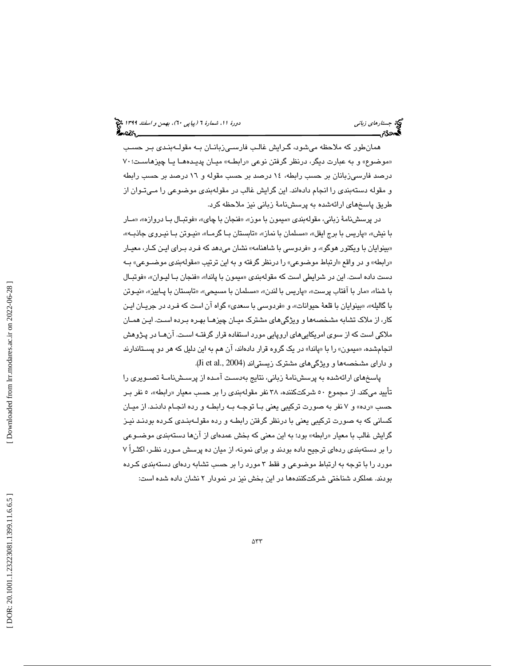# جستاره*اي زباني (بياپي 60)، بهمن و اسفند 1*394 فرانس به 130 دورة ا $\mu$  شمارة 1 (پياپي 61)، بهم*ن و اسفند 1*34 فر

همانطور كه ملاحظه ميشود، گـرايش غالـب فارسـي زبانـان بـه مقولـه بنـدي بـر حسـب «موضوع» و به عبارت دیگر، درنظر گرفتن نوعی «رابطـه» میـان پدیـدههـا یـا چیزهاسـت؛۷۰ درصد فارسیزبانان بر حسب رابطه، ۱۶ درصد بر حسب مقوله و ۱۲ درصد بر حسب رابطه و مقوله دستهبندي را انجام دادهاند. اين گرايش غالب در مقولهبندي موضوعي را مـي تـوان از طريق پاسخهاي ارائهشده به پرسشنامة زباني نيز ملاحظه كرد.

در پرسشنامهٔ زباني، مقولهبندي «ميمون با موز»، «فنجان با چاي»، «فوتبـال بـا دروازه»، «مـار با نيش»، «پاريس با برج ايفل»، «مسلمان با نماز»، «تابستان بـا گرمـا»، «نيـوتن بـا نيـروي جاذبـه»، «بینوایان با ویکتور هوگو»، و «فردوسی با شاهنامه» نشان میدهد که فـرد بـرای ایـن کـار، معیـار «رابطه» و در واقع «ارتباط موضوعي» را درنظر گرفته و به اين ترتيب «مقولهبندی موضــوعی» بــه دست داده است. اين در شرايطي است كه مقولهبندي «ميمون با پاندا»، «فنجان بـا ليـوان»، «فوتبـال با شنا»، «مار با آفتاب پرست»، «پاريس با لندن»، «مسلمان با مسيحي»، «تابستان با پـاييز»، «نيـوتن با گاليله»، «بينوايان با قلعهٔ حيوانات»، و «فردوسي با سعدي» گواه ان است كه فـرد در جريــان ايــن كار، از ملاك تشابه مشخصهها و ويژگيهاي مشترك ميـان چيزهـا بهـره بـرده اسـت. ايـن همـان ملاكي است كه از سوي امريكاييهاي اروپايي مورد استفاده قرار گرفتـه اسـت. آن هـا در پـژوهش انجامشده، «میمون» را با «پاندا» در یک گروه قرار دادهاند، ان هم به این دلیل که هر دو پســتاندارند و دارای مشخصهها و ويژگیهای مشترک زيستیاند (2004 .Ji et al.,

پاسخهاي ارائهشده به پرسشنامة زباني، نتايج بهدسـت آمـده از پرسـش نامـة تصـويري را تأييد ميكند. از مجموع ٥٠ شركتكننده، ٣٨ نفر مقولهبندي را بر حسب معيار «رابطه»، ٥ نفر بـر حسب «رده» و ۷ نفر به صورت تركيبي يعني بــا توجــه بــه رابطــه و رده انجــام دادنــد. از ميــان كساني كه به صورت تركيبي يعني با درنظر گرفتن رابطـه و رده مقولـه بنـدي كـرده بودنـد نيـز گرايش غالب با معيار «رابطه» بود؛ به اين معنى كه بخش عمدهاى از انها دستهبندى موضــوعى را بر دستهبندي ردهاي ترجيح داده بودند و براي نمونه، از ميان ده پرسش مـورد نظـر، اكثـراً 7 مورد را با توجه به ارتباط موضوعي و فقط 3 مورد را بر حسب تشابه ردهاي دستهبندي كـرده بودند. عملكرد شناختي شركتكنندهها در اين بخش نيز در نمودار 2 نشان داده شده است: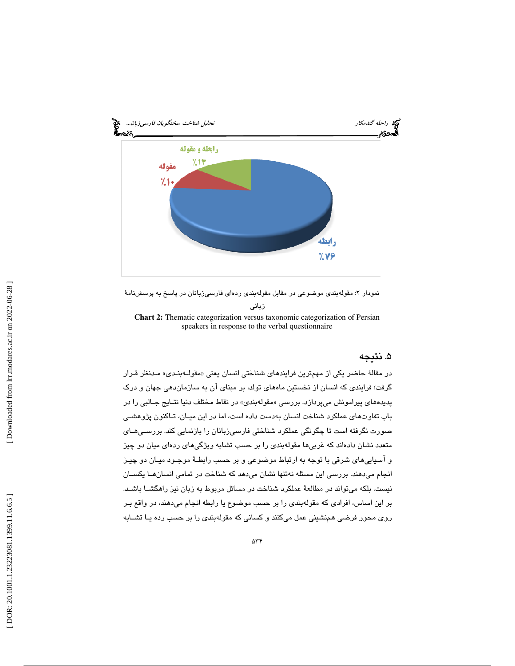

نمودار ۲: مقولهبندي موضوعي در مقابل مقولهبندي ردهاي فارسيزبانان در پاسخ به پرسشنامهٔ زباني

**Chart 2:** Thematic categorization versus taxonomic categorization of Persian speakers in response to the verbal questionnaire

## . نتيجه 5

در مقالهٔ حاضر یکی از مهمترین فرایند*ه*ای شناختی انسان یعنی «مقولــهبنـدی» مـدنظر قــرار گرفت؛ فرايندي كه انسان از نخستين ماههاي تولد، بر مبناي آن به سازماندهي جهان و درك پديدههاي پيرامونش ميپردازد. بررس*ي* «مقولهبندي» در نقاط مختلف دنيا نتــايج جــالبي را در باب تفاوتهاي عملكرد شناخت انسان بهدست داده است، اما در اين ميـان، تـاكنون پژوهشـي صورت نگرفته است تا چگونگي عملكرد شناختي فارسيزبانان را بازنمايي كند. بررسـي هـاي متعدد نشان دادهاند كه غربيها مقولهبندي را بر حسب تشابه ويژگيهاي ردهاي ميان دو چيز و آسياييهاي شرقي با توجه به ارتباط موضوعي و بر حسب رابطـة موجـود ميـان دو چيـز انجام ميدهند. بررسي اين مسئله نهتنها نشان ميدهد كه شناخت در تمامي انسانهـا يكسـان نيست، بلكه ميتواند در مطالعة عملكرد شناخت در مسائل مربوط به زبان نيز راهگشـا باشـد. بر اين اساس، افرادي كه مقولهبندي را بر حسب موضوع يا رابطه انجام ميدهند، در واقع بـر روي محور فرضي همنشيني عمل ميكنند و كساني كه مقولهبندي را بر حسب رده يـا تشـابه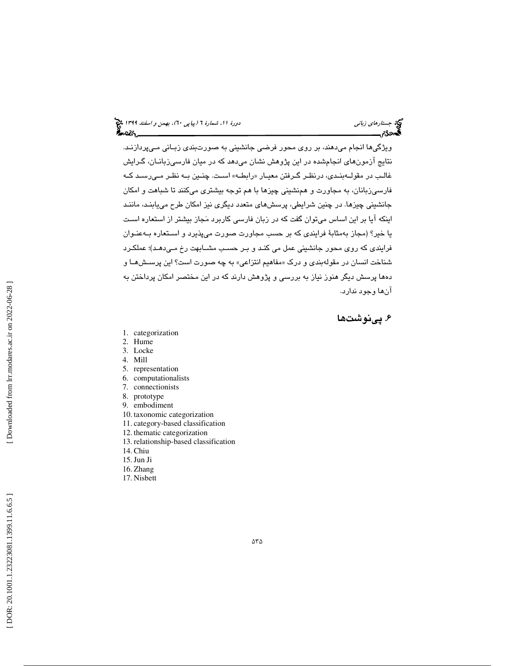ويژگيها انجام ميدهند، بر روي محور فرضي جانشيني به صورتبندي زبـاني مـي پردازنـد. نتايج آزمونهاي انجامشده در اين پژوهش نشان ميدهد كه در ميان فارسيزبانـان، گـرايش غالـب در مقولــهبنـدي، درنظـر گــرفتن معيــار «رابطــه» اســت. چنــین بــه نظــر مــیرســد کــه فارسيزبانان، به مجاورت و همنشيني چيزها با هم توجه بيشتري ميكنند تا شباهت و امكان جانشيني چيزها. در چنين شرايطي، پرسشهاي متعدد ديگري نيز امكان طرح مييابنـد، ماننـد اينكه آيا بر اين اساس ميتوان گفت كه در زبان فارسي كاربرد مجاز بيشتر از استعاره اسـت يا خير؟ (مجاز بهمثابة فرايندي كه بر حسب مجاورت صورت ميپذيرد و اسـتعاره بـه عنـوان فرايندي كه روي محور جانشيني عمل مي كنـد و بـر حسـب مشـابهت رخ مـي دهـد)؛ عملكـرد شناخت انسان در مقولهبن*دی* و درک «مفاهیم انتزاعی» به چه صورت است؟ این پرســشهــا و دهها پرسش ديگر هنوز نياز به بررسي و پژوهش دارند كه در اين مختصر امكان پرداختن به آنها وجود ندارد.

## . پينوشت ها 6

- 1. categorization
- 2. Hume
- 3. Locke
- 4. Mill
- 5. representation
- 6. computationalists
- 7. connectionists
- 8. prototype
- 9. embodiment
- 10. taxonomic categorization
- 11. category-based classification
- 12. thematic categorization
- 13. relationship-based classification
- 14. Chiu
- 15.Jun Ji
- 16. Zhang
- 17. Nisbett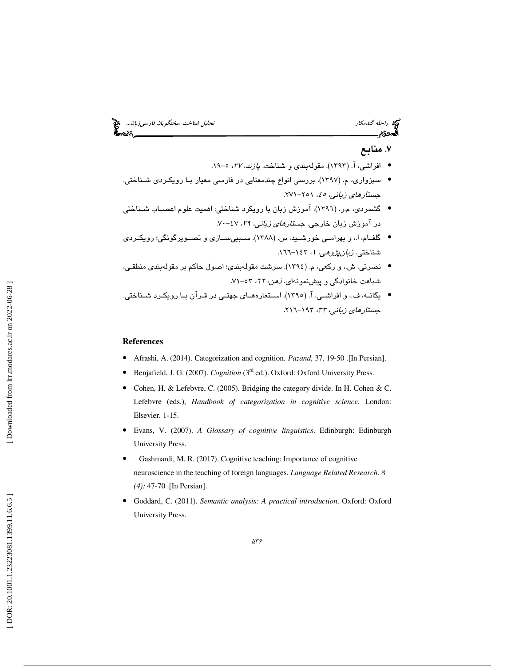راحله گندمكار تحليل شناخت سخنگويان فارسي زبان...<br>التحادثی الحادثی الحادثی الحادثی الحادثی الحادثی الحادثی الحادثی الحادثی الحادثی الحادثی الحادثی الحادثی الحاد

## . منابع 7

- افراشي، آ. (١٣٩٣). مقولهبندي و شناخت. *پازند، ٣٧،* ٥-١٩.
- سبزواري، م. (1397). بررسي انواع چندمعنايي در فارسي معيار بـا رويكـردي شـناختي. جستار*های زبانی، ه*٤، ۲۵۱–۲۷۱.
- گشمردي، م.ر. (1396). آموزش زبان با رويكرد شناختي: اهميت علوم اعصـاب شـناختي در آموزش زبان خارجي. *جستارهاي زباني، ۲۹،* ۶۷-۷۰.
- گلفــام، ا،. و بهرامــي خورشــيد، س. (1388). ســببيســازي و تصــويرگونگي؛ رويكــردي شناختی. *زبانپژوهی، ۱*، ۱٤۳–۱٦٦.
- نصرتي، ش،. و ركعي، م. (1394). سرشت مقولهبندي؛ اصول حاكم بر مقولهبندي منطقـي، شباهت خانوادگي و پيشنمونهاي. *ذهن، ٦٢،* ٥٣-٧١.
- يگانـه، ف،. و افراشـي، آ. (1395). اسـتعارههـاي جهتـي در قـرآن بـا رويكـرد شـناختي. جست*ارهای زبانی، ۳۳،* ۱۹۳–۲۱٦.

## **References**

- Afrashi, A. (2014). Categorization and cognition. *P* ɑ*zand*, 37, 19-50 .[In Persian].
- Benjafield, J. G. (2007). *Cognition* (3rd ed.). Oxford: Oxford University Press.
- Cohen, H. & Lefebvre, C. (2005). Bridging the category divide. In H. Cohen & C. Lefebvre (eds.), *Handbook of categorization in cognitive science*. London: Elsevier. 1-15.
- Evans, V. (2007). *A Glossary of cognitive linguistics*. Edinburgh: Edinburgh University Press.
- Gashmardi, M. R. (2017). Cognitive teaching: Importance of cognitive neuroscience in the teaching of foreign languages. *Language Related Research*. *8 (4):* 47-70 .[In Persian].
- Goddard, C. (2011). *Semantic analysis: A practical introduction*. Oxford: Oxford University Press.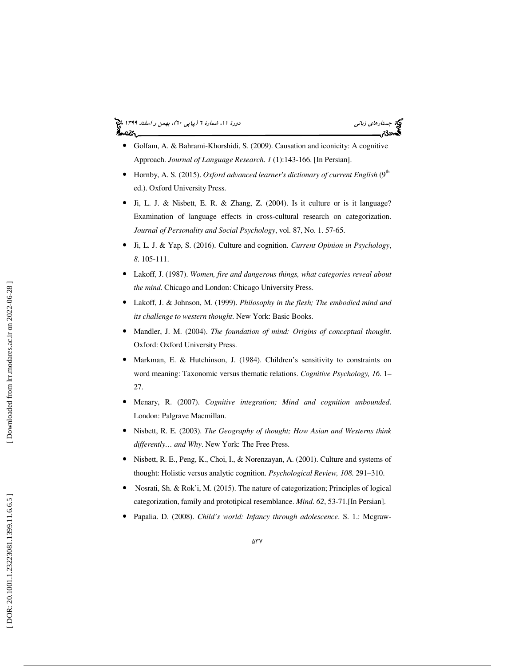#### جستاره*اي زباني (بياپي 60)، بهمن و اسفند 1*394 فرانس به 130 دورة ا $\mu$  شمارة 1 (پياپي 61)، بهم*ن و اسفند 1*34 فر ಹಿಂದಿ



- Golfam, A. & Bahrami-Khorshidi, S. (2009). Causation and iconicity: A cognitive Approach. *Journal of Language Research*. *1* (1):143-166. [In Persian].
- Hornby, A. S. (2015). *Oxford advanced learner's dictionary of current English* (9<sup>th</sup> ed.). Oxford University Press.
- Ji, L. J. & Nisbett, E. R. & Zhang, Z. (2004). Is it culture or is it language? Examination of language effects in cross-cultural research on categorization. *Journal of Personality and Social Psychology*, vol. 87, No. 1. 57-65.
- Ji, L. J. & Yap, S. (2016). Culture and cognition. *Current Opinion in Psychology*, *8*. 105-111.
- Lakoff, J. (1987). *Women, fire and dangerous things, what categories reveal about the mind*. Chicago and London: Chicago University Press.
- Lakoff, J. & Johnson, M. (1999). *Philosophy in the flesh; The embodied mind and its challenge to western thought*. New York: Basic Books.
- Mandler, J. M. (2004). *The foundation of mind: Origins of conceptual thought*. Oxford: Oxford University Press.
- Markman, E. & Hutchinson, J. (1984). Children's sensitivity to constraints on word meaning: Taxonomic versus thematic relations. *Cognitive Psychology, 16*. 1– 27.
- Menary, R. (2007). *Cognitive integration; Mind and cognition unbounded*. London: Palgrave Macmillan.
- Nisbett, R. E. (2003). *The Geography of thought; How Asian and Westerns think differently… and Why*. New York: The Free Press.
- Nisbett, R. E., Peng, K., Choi, I., & Norenzayan, A. (2001). Culture and systems of thought: Holistic versus analytic cognition. *Psychological Review, 108* . 291–310.
- Nosrati, Sh. & Rok'i, M. (2015). The nature of categorization; Principles of logical categorization, family and prototipical resemblance. *Mind*. *62*, 53-71.[In Persian].
- Papalia. D. (2008). *Child's world: Infancy through adolescence*. S. 1.: Mcgraw-